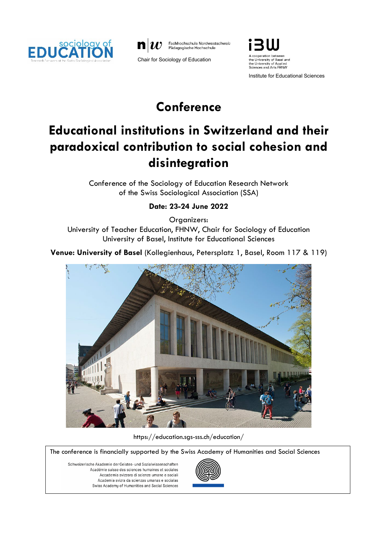





Institute for Educational Sciences

## **Conference**

# **Educational institutions in Switzerland and their paradoxical contribution to social cohesion and disintegration**

Conference of the Sociology of Education Research Network of the Swiss Sociological Association (SSA)

## **Date: 23-24 June 2022**

Organizers:

University of Teacher Education, FHNW, Chair for Sociology of Education University of Basel, Institute for Educational Sciences

**Venue: University of Basel** (Kollegienhaus, Petersplatz 1, Basel, Room 117 & 119)



[https://education.sgs-sss.ch/education/](https://education.sgs-sss.ch/education/?page_id=22)

The conference is financially supported by the Swiss Academy of Humanities and Social Sciences

Schweizerische Akademie der Geistes- und Sozialwissenschaften Académie suisse des sciences humaines et sociales Accademia svizzera di scienze umane e sociali Academia svizra da scienzas umanas e socialas Swiss Academy of Humanities and Social Sciences

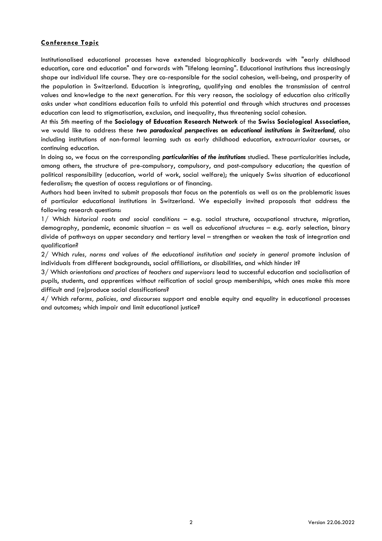### **Conference Topic**

Institutionalised educational processes have extended biographically backwards with "early childhood education, care and education" and forwards with "lifelong learning". Educational institutions thus increasingly shape our individual life course. They are co-responsible for the social cohesion, well-being, and prosperity of the population in Switzerland. Education is integrating, qualifying and enables the transmission of central values and knowledge to the next generation. For this very reason, the sociology of education also critically asks under what conditions education fails to unfold this potential and through which structures and processes education can lead to stigmatisation, exclusion, and inequality, thus threatening social cohesion.

At this 5th meeting of the **Sociology of Education Research Network** of the **Swiss Sociological Association**, we would like to address these *two paradoxical perspectives on educational institutions in Switzerland*, also including institutions of non-formal learning such as early childhood education, extracurricular courses, or continuing education.

In doing so, we focus on the corresponding *particularities of the institutions* studied. These particularities include, among others, the structure of pre-compulsory, compulsory, and post-compulsory education; the question of political responsibility (education, world of work, social welfare); the uniquely Swiss situation of educational federalism; the question of access regulations or of financing.

Authors had been invited to submit proposals that focus on the potentials as well as on the problematic issues of particular educational institutions in Switzerland. We especially invited proposals that address the following research questions:

1/ Which *historical roots and social conditions* – e.g. social structure, occupational structure, migration, demography, pandemic, economic situation – as well as *educational structures* – e.g. early selection, binary divide of pathways on upper secondary and tertiary level – strengthen or weaken the task of integration and qualification?

2/ Which *rules, norms and values of the educational institution and society in general* promote inclusion of individuals from different backgrounds, social affiliations, or disabilities, and which hinder it?

3/ Which *orientations and practices of teachers and supervisors* lead to successful education and socialisation of pupils, students, and apprentices without reification of social group memberships, which ones make this more difficult and (re)produce social classifications?

4/ Which *reforms, policies, and discourses* support and enable equity and equality in educational processes and outcomes; which impair and limit educational justice?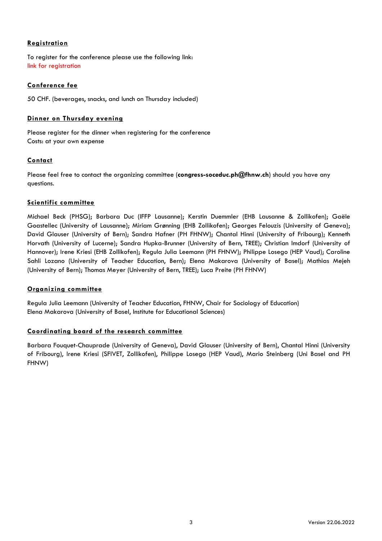## **Registration**

To register for the conference please use the following link: [link for registration](https://events.fhnw.ch/frontend/index.php?sub=114)

## **Conference fee**

50 CHF. (beverages, snacks, and lunch on Thursday included)

## **Dinner on Thursday evening**

Please register for the dinner when registering for the conference Costs: at your own expense

## **Contact**

Please feel free to contact the organizing committee (**congress-soceduc.ph@fhnw.ch**) should you have any questions.

## **Scientific committee**

Michael Beck (PHSG); Barbara Duc (IFFP Lausanne); Kerstin Duemmler (EHB Lausanne & Zollikofen); Gaële Goastellec (University of Lausanne); Miriam Grønning (EHB Zollikofen); Georges Felouzis (University of Geneva); David Glauser (University of Bern); Sandra Hafner (PH FHNW); Chantal Hinni (University of Fribourg); Kenneth Horvath (University of Lucerne); Sandra Hupka-Brunner (University of Bern, TREE); Christian Imdorf (University of Hannover); Irene Kriesi (EHB Zollikofen); Regula Julia Leemann (PH FHNW); Philippe Losego (HEP Vaud); Caroline Sahli Lozano (University of Teacher Education, Bern); Elena Makarova (University of Basel); Mathias Mejeh (University of Bern); Thomas Meyer (University of Bern, TREE); Luca Preite (PH FHNW)

#### **Organizing committee**

Regula Julia Leemann (University of Teacher Education, FHNW, Chair for Sociology of Education) Elena Makarova (University of Basel, Institute for Educational Sciences)

## **Coordinating board of the research committee**

Barbara Fouquet-Chauprade (University of Geneva), David Glauser (University of Bern), Chantal Hinni (University of Fribourg), Irene Kriesi (SFIVET, Zollikofen), Philippe Losego (HEP Vaud), Mario Steinberg (Uni Basel and PH FHNW)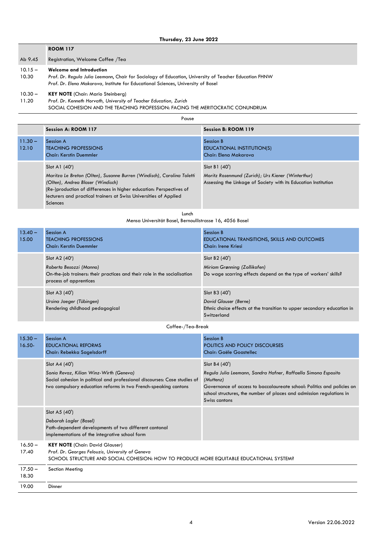|                    | <b>ROOM 117</b>                                                                                                                                                                                                                |  |
|--------------------|--------------------------------------------------------------------------------------------------------------------------------------------------------------------------------------------------------------------------------|--|
| Ab 9.45            | Registration, Welcome Coffee /Tea                                                                                                                                                                                              |  |
| $10.15 -$<br>10.30 | <b>Welcome and Introduction</b><br>Prof. Dr. Regula Julia Leemann, Chair for Sociology of Education, University of Teacher Education FHNW<br>Prof. Dr. Elena Makarova, Institute for Educational Sciences, University of Basel |  |
| $10.30 -$<br>11.20 | <b>KEY NOTE</b> (Chair: Mario Steinberg)<br>Prof. Dr. Kenneth Horvath, University of Teacher Education, Zurich<br>SOCIAL COHESION AND THE TEACHING PROFESSION: FACING THE MERITOCRATIC CONUNDRUM                               |  |
| Pause              |                                                                                                                                                                                                                                |  |

|                    | Session A: ROOM 117                                                                                                                                                                                                                                                                  | Session B: ROOM 119                                                                                                                    |
|--------------------|--------------------------------------------------------------------------------------------------------------------------------------------------------------------------------------------------------------------------------------------------------------------------------------|----------------------------------------------------------------------------------------------------------------------------------------|
| $11.30 -$<br>12.10 | Session A<br><b>TEACHING PROFESSIONS</b><br><b>Chair: Kerstin Duemmler</b>                                                                                                                                                                                                           | Session B<br>EDUCATIONAL INSTITUTION(S)<br>Chair: Elena Makarova                                                                       |
|                    | Slot A1 (40')<br>Maritza Le Breton (Olten), Susanne Burren (Windisch), Carolina Toletti<br>(Olten), Andrea Blaser (Windisch)<br>(Re-)production of differences in higher education: Perspectives of<br>lecturers and practical trainers at Swiss Universities of Applied<br>Sciences | Slot B1 (40')<br>Moritz Rosenmund (Zurich); Urs Kiener (Winterthur)<br>Assessing the Linkage of Society with its Education Institution |

Lunch

Mensa Universität Basel, Bernoullistrasse 16, 4056 Basel

| $13.40 -$<br>15.00 | Session A<br><b>TEACHING PROFESSIONS</b><br><b>Chair: Kerstin Duemmler</b>                                                                     | Session B<br>EDUCATIONAL TRANSITIONS, SKILLS AND OUTCOMES<br>Chair: Irene Kriesi                                                 |
|--------------------|------------------------------------------------------------------------------------------------------------------------------------------------|----------------------------------------------------------------------------------------------------------------------------------|
|                    | Slot A2 (40')<br>Roberta Besozzi (Manno)<br>On-the-job trainers: their practices and their role in the socialisation<br>process of apprentices | Slot B <sub>2</sub> (40')<br>Miriam Grønning (Zollikofen)<br>Do wage scarring effects depend on the type of workers' skills?     |
|                    | Slot A3 (40')<br>Ursina Jaeger (Tübingen)<br>Rendering childhood pedagogical                                                                   | Slot B3 (40')<br>David Glauser (Berne)<br>Ethnic choice effects at the transition to upper secondary education in<br>Switzerland |

Coffee-/Tea-Break

| $15.30 -$<br>$16.50 -$ | Session A<br><b>EDUCATIONAL REFORMS</b><br>Chair: Rebekka Sagelsdorff                                                                                                                                    | Session B<br>POLITICS AND POLICY DISCOURSES<br>Chair: Gaële Goastellec                                                                                                                                                                                          |
|------------------------|----------------------------------------------------------------------------------------------------------------------------------------------------------------------------------------------------------|-----------------------------------------------------------------------------------------------------------------------------------------------------------------------------------------------------------------------------------------------------------------|
|                        | Slot A4 (40')<br>Sonia Revaz, Kilian Winz-Wirth (Geneva)<br>Social cohesion in political and professional discourses: Case studies of<br>two compulsory education reforms in two French-speaking cantons | Slot B4 (40')<br>Regula Julia Leemann, Sandra Hafner, Raffaella Simona Esposito<br>(Muttenz)<br>Governance of access to baccalaureate school: Politics and policies on<br>school structures, the number of places and admission regulations in<br>Swiss cantons |
|                        | Slot A5 (40')<br>Deborah Lagler (Basel)<br>Path-dependent developments of two different cantonal<br>implementations of the integrative school form                                                       |                                                                                                                                                                                                                                                                 |
| $16.50 -$<br>17.40     | <b>KEY NOTE</b> (Chair: David Glauser)<br>Prof. Dr. Georges Felouzis, University of Geneva<br>SCHOOL STRUCTURE AND SOCIAL COHESION: HOW TO PRODUCE MORE EQUITABLE EDUCATIONAL SYSTEM?                    |                                                                                                                                                                                                                                                                 |
| $17.50 -$<br>18.30     | Section Meeting                                                                                                                                                                                          |                                                                                                                                                                                                                                                                 |
| 19.00                  | Dinner                                                                                                                                                                                                   |                                                                                                                                                                                                                                                                 |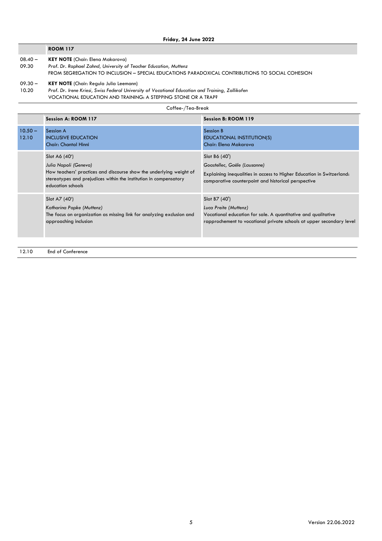#### **ROOM 117**

- $08.40 -$ **KEY NOTE** (Chair: Elena Makarova)
- 09.30 *Prof. Dr. Raphael Zahnd, University of Teacher Education, Muttenz*
	- FROM SEGREGATION TO INCLUSION SPECIAL EDUCATIONS PARADOXICAL CONTRIBUTIONS TO SOCIAL COHESION
- $09.30 -$ **KEY NOTE** (Chair: Regula Julia Leemann)
- 10.20 *Prof. Dr. Irene Kriesi, Swiss Federal University of Vocational Education and Training, Zollikofen* VOCATIONAL EDUCATION AND TRAINING: A STEPPING STONE OR A TRAP?

| Coffee-/Tea-Break  |                                                                                                                                                                                                         |                                                                                                                                                                                 |  |  |
|--------------------|---------------------------------------------------------------------------------------------------------------------------------------------------------------------------------------------------------|---------------------------------------------------------------------------------------------------------------------------------------------------------------------------------|--|--|
|                    | Session A: ROOM 117                                                                                                                                                                                     | Session B: ROOM 119                                                                                                                                                             |  |  |
| $10.50 -$<br>12.10 | <b>Session A</b><br><b>INCLUSIVE EDUCATION</b><br><b>Chair: Chantal Hinni</b>                                                                                                                           | Session B<br>EDUCATIONAL INSTITUTION(S)<br>Chair: Elena Makarova                                                                                                                |  |  |
|                    | Slot A6 (40')<br>Julia Napoli (Geneva)<br>How teachers' practices and discourse show the underlying weight of<br>stereotypes and prejudices within the institution in compensatory<br>education schools | Slot B6 (40')<br>Goastellec, Gaële (Lausanne)<br>Explaining inequalities in access to Higher Education in Switzerland:<br>comparative counterpoint and historical perspective   |  |  |
|                    | Slot A7 (40')<br>Katharina Papke (Muttenz)<br>The focus on organization as missing link for analyzing exclusion and<br>approaching inclusion                                                            | Slot B7 (40')<br>Luca Preite (Muttenz)<br>Vocational education for sale. A quantitative and qualitative<br>rapprochement to vocational private schools at upper secondary level |  |  |

#### 12.10 End of Conference